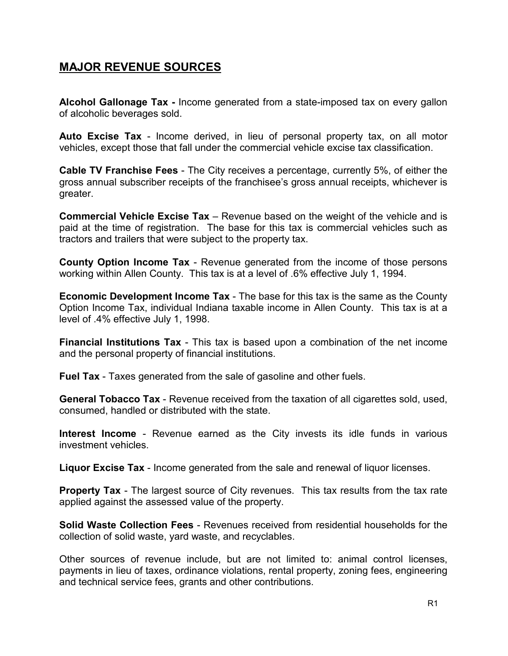# MAJOR REVENUE SOURCES

Alcohol Gallonage Tax - Income generated from a state-imposed tax on every gallon of alcoholic beverages sold.

Auto Excise Tax - Income derived, in lieu of personal property tax, on all motor vehicles, except those that fall under the commercial vehicle excise tax classification.

Cable TV Franchise Fees - The City receives a percentage, currently 5%, of either the gross annual subscriber receipts of the franchisee's gross annual receipts, whichever is greater.

Commercial Vehicle Excise Tax – Revenue based on the weight of the vehicle and is paid at the time of registration. The base for this tax is commercial vehicles such as tractors and trailers that were subject to the property tax.

County Option Income Tax - Revenue generated from the income of those persons working within Allen County. This tax is at a level of .6% effective July 1, 1994.

Economic Development Income Tax - The base for this tax is the same as the County Option Income Tax, individual Indiana taxable income in Allen County. This tax is at a level of .4% effective July 1, 1998.

Financial Institutions Tax - This tax is based upon a combination of the net income and the personal property of financial institutions.

Fuel Tax - Taxes generated from the sale of gasoline and other fuels.

General Tobacco Tax - Revenue received from the taxation of all cigarettes sold, used, consumed, handled or distributed with the state.

Interest Income - Revenue earned as the City invests its idle funds in various investment vehicles.

Liquor Excise Tax - Income generated from the sale and renewal of liquor licenses.

**Property Tax** - The largest source of City revenues. This tax results from the tax rate applied against the assessed value of the property.

Solid Waste Collection Fees - Revenues received from residential households for the collection of solid waste, yard waste, and recyclables.

Other sources of revenue include, but are not limited to: animal control licenses, payments in lieu of taxes, ordinance violations, rental property, zoning fees, engineering and technical service fees, grants and other contributions.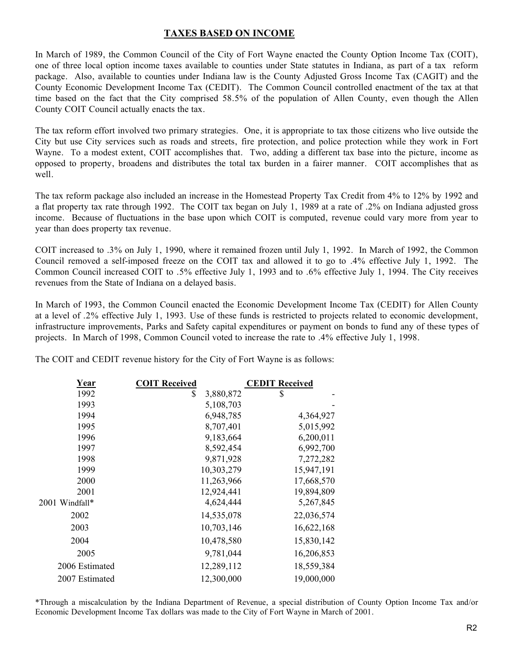## TAXES BASED ON INCOME

In March of 1989, the Common Council of the City of Fort Wayne enacted the County Option Income Tax (COIT), one of three local option income taxes available to counties under State statutes in Indiana, as part of a tax reform package. Also, available to counties under Indiana law is the County Adjusted Gross Income Tax (CAGIT) and the County Economic Development Income Tax (CEDIT). The Common Council controlled enactment of the tax at that time based on the fact that the City comprised 58.5% of the population of Allen County, even though the Allen County COIT Council actually enacts the tax.

The tax reform effort involved two primary strategies. One, it is appropriate to tax those citizens who live outside the City but use City services such as roads and streets, fire protection, and police protection while they work in Fort Wayne. To a modest extent, COIT accomplishes that. Two, adding a different tax base into the picture, income as opposed to property, broadens and distributes the total tax burden in a fairer manner. COIT accomplishes that as well.

The tax reform package also included an increase in the Homestead Property Tax Credit from 4% to 12% by 1992 and a flat property tax rate through 1992. The COIT tax began on July 1, 1989 at a rate of .2% on Indiana adjusted gross income. Because of fluctuations in the base upon which COIT is computed, revenue could vary more from year to year than does property tax revenue.

COIT increased to .3% on July 1, 1990, where it remained frozen until July 1, 1992. In March of 1992, the Common Council removed a self-imposed freeze on the COIT tax and allowed it to go to .4% effective July 1, 1992. The Common Council increased COIT to .5% effective July 1, 1993 and to .6% effective July 1, 1994. The City receives revenues from the State of Indiana on a delayed basis.

In March of 1993, the Common Council enacted the Economic Development Income Tax (CEDIT) for Allen County at a level of .2% effective July 1, 1993. Use of these funds is restricted to projects related to economic development, infrastructure improvements, Parks and Safety capital expenditures or payment on bonds to fund any of these types of projects. In March of 1998, Common Council voted to increase the rate to .4% effective July 1, 1998.

The COIT and CEDIT revenue history for the City of Fort Wayne is as follows:

| Year           | <b>COIT Received</b> | <b>CEDIT Received</b> |
|----------------|----------------------|-----------------------|
| 1992           | \$<br>3,880,872      | \$                    |
| 1993           | 5,108,703            |                       |
| 1994           | 6,948,785            | 4,364,927             |
| 1995           | 8,707,401            | 5,015,992             |
| 1996           | 9,183,664            | 6,200,011             |
| 1997           | 8,592,454            | 6,992,700             |
| 1998           | 9,871,928            | 7,272,282             |
| 1999           | 10,303,279           | 15,947,191            |
| 2000           | 11,263,966           | 17,668,570            |
| 2001           | 12,924,441           | 19,894,809            |
| 2001 Windfall* | 4,624,444            | 5,267,845             |
| 2002           | 14,535,078           | 22,036,574            |
| 2003           | 10,703,146           | 16,622,168            |
| 2004           | 10,478,580           | 15,830,142            |
| 2005           | 9,781,044            | 16,206,853            |
| 2006 Estimated | 12,289,112           | 18,559,384            |
| 2007 Estimated | 12,300,000           | 19,000,000            |
|                |                      |                       |

\*Through a miscalculation by the Indiana Department of Revenue, a special distribution of County Option Income Tax and/or Economic Development Income Tax dollars was made to the City of Fort Wayne in March of 2001.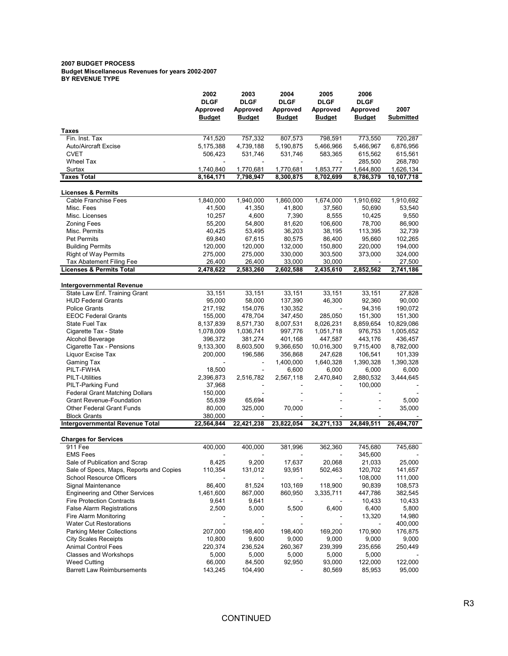#### 2007 BUDGET PROCESS Budget Miscellaneous Revenues for years 2002-2007 BY REVENUE TYPE

|                                         | 2002                      | 2003                      | 2004                      | 2005                      | 2006                      |                   |
|-----------------------------------------|---------------------------|---------------------------|---------------------------|---------------------------|---------------------------|-------------------|
|                                         | <b>DLGF</b>               | <b>DLGF</b>               | <b>DLGF</b>               | <b>DLGF</b>               | <b>DLGF</b>               |                   |
|                                         | Approved<br><b>Budget</b> | Approved<br><b>Budget</b> | Approved<br><b>Budget</b> | Approved<br><b>Budget</b> | Approved<br><b>Budget</b> | 2007<br>Submitted |
| Taxes                                   |                           |                           |                           |                           |                           |                   |
| Fin. Inst. Tax                          | 741,520                   | 757,332                   | 807,573                   | 798,591                   | 773,550                   | 720,287           |
| <b>Auto/Aircraft Excise</b>             | 5,175,388                 | 4,739,188                 | 5,190,875                 | 5,466,966                 | 5,466,967                 | 6,876,956         |
| <b>CVET</b>                             | 506,423                   | 531,746                   | 531,746                   | 583,365                   | 615,562                   | 615,561           |
| <b>Wheel Tax</b>                        |                           |                           |                           |                           | 285,500                   | 268,780           |
| Surtax                                  | 1,740,840                 | 1,770,681                 | 1,770,681                 | 1,853,777                 | 1,644,800                 | 1,626,134         |
| <b>Taxes Total</b>                      | 8,164,171                 | 7,798,947                 | 8,300,875                 | 8,702,699                 | 8,786,379                 | 10,107,718        |
| <b>Licenses &amp; Permits</b>           |                           |                           |                           |                           |                           |                   |
| <b>Cable Franchise Fees</b>             | 1,840,000                 | 1,940,000                 | 1,860,000                 | 1,674,000                 | 1,910,692                 | 1,910,692         |
| Misc. Fees                              | 41,500                    | 41,350                    | 41,800                    | 37,560                    | 50,690                    | 53,540            |
| Misc. Licenses                          | 10,257                    | 4,600                     | 7,390                     | 8,555                     | 10,425                    | 9,550             |
| <b>Zoning Fees</b>                      | 55,200                    | 54,800                    | 81,620                    | 106,600                   | 78,700                    | 86,900            |
| Misc. Permits                           | 40,425                    | 53,495                    | 36,203                    | 38,195                    | 113,395                   | 32,739            |
| <b>Pet Permits</b>                      | 69,840                    | 67,615                    | 80,575                    | 86,400                    | 95,660                    | 102,265           |
| <b>Building Permits</b>                 | 120,000                   | 120,000                   | 132,000                   | 150,800                   | 220,000                   | 194,000           |
| Right of Way Permits                    | 275,000                   | 275,000                   | 330,000                   | 303,500                   | 373,000                   | 324,000           |
| <b>Tax Abatement Filing Fee</b>         | 26,400                    | 26,400                    | 33,000                    | 30,000                    |                           | 27,500            |
| <b>Licenses &amp; Permits Total</b>     | 2,478,622                 | 2,583,260                 | 2,602,588                 | 2,435,610                 | 2,852,562                 | 2,741,186         |
| <b>Intergovernmental Revenue</b>        |                           |                           |                           |                           |                           |                   |
| State Law Enf. Training Grant           | 33,151                    | 33,151                    | 33,151                    | 33,151                    | 33,151                    | 27,828            |
| <b>HUD Federal Grants</b>               | 95,000                    | 58,000                    | 137,390                   | 46,300                    | 92,360                    | 90,000            |
| <b>Police Grants</b>                    | 217,192                   | 154,076                   | 130,352                   |                           | 94,316                    | 190,072           |
| <b>EEOC Federal Grants</b>              | 155,000                   | 478,704                   | 347.450                   | 285,050                   | 151,300                   | 151,300           |
| State Fuel Tax                          | 8,137,839                 | 8,571,730                 | 8,007,531                 | 8,026,231                 | 8,859,654                 | 10,829,086        |
| Cigarette Tax - State                   | 1,078,009                 | 1,036,741                 | 997,776                   | 1,051,718                 | 976,753                   | 1,005,652         |
| Alcohol Beverage                        | 396,372                   | 381,274                   | 401,168                   | 447,587                   | 443,176                   | 436,457           |
| Cigarette Tax - Pensions                | 9,133,300                 | 8,603,500                 | 9,366,650                 | 10,016,300                | 9,715,400                 | 8,782,000         |
| Liquor Excise Tax                       | 200,000                   | 196,586                   | 356,868                   | 247,628                   | 106,541                   | 101,339           |
| Gaming Tax                              |                           |                           | 1,400,000                 | 1,640,328                 | 1,390,328                 | 1,390,328         |
| PILT-FWHA                               | 18,500                    |                           | 6,600                     | 6,000                     | 6,000                     | 6,000             |
| <b>PILT-Utilities</b>                   | 2,396,873                 | 2,516,782                 | 2,567,118                 | 2,470,840                 | 2,880,532                 | 3,444,645         |
| PILT-Parking Fund                       | 37,968                    |                           |                           |                           | 100,000                   |                   |
| <b>Federal Grant Matching Dollars</b>   | 150,000                   |                           |                           |                           |                           |                   |
| <b>Grant Revenue-Foundation</b>         | 55,639                    | 65,694                    |                           |                           |                           | 5,000             |
| <b>Other Federal Grant Funds</b>        | 80,000                    | 325,000                   | 70,000                    |                           |                           | 35,000            |
| <b>Block Grants</b>                     | 380,000                   |                           |                           |                           |                           |                   |
| Intergovernmental Revenue Total         | 22,564,844                | 22,421,238                | 23,822,054                | 24,271,133                | 24,849,511                | 26,494,707        |
| <b>Charges for Services</b>             |                           |                           |                           |                           |                           |                   |
| 911 Fee                                 | 400,000                   | 400,000                   | 381,996                   | 362,360                   | 745,680                   | 745,680           |
| <b>EMS Fees</b>                         |                           |                           |                           |                           | 345,600                   |                   |
| Sale of Publication and Scrap           | 8,425                     | 9,200                     | 17,637                    | 20,068                    | 21,033                    | 25,000            |
| Sale of Specs, Maps, Reports and Copies | 110,354                   | 131,012                   | 93,951                    | 502,463                   | 120,702                   | 141,657           |
| School Resource Officers                |                           |                           |                           |                           | 108,000                   | 111,000           |
| Signal Maintenance                      | 86,400                    | 81,524                    | 103,169                   | 118,900                   | 90,839                    | 108,573           |
| Engineering and Other Services          | 1,461,600                 | 867,000                   | 860,950                   | 3,335,711                 | 447,786                   | 382,545           |
| <b>Fire Protection Contracts</b>        | 9,641                     | 9,641                     |                           |                           | 10,433                    | 10,433            |
| <b>False Alarm Registrations</b>        | 2,500                     | 5,000                     | 5,500                     | 6,400                     | 6,400                     | 5,800             |
| Fire Alarm Monitoring                   |                           |                           |                           |                           | 13,320                    | 14,980            |
| <b>Water Cut Restorations</b>           |                           |                           |                           |                           |                           | 400,000           |
| Parking Meter Collections               | 207,000                   | 198,400                   | 198,400                   | 169,200                   | 170,900                   | 176,875           |
| <b>City Scales Receipts</b>             | 10,800                    | 9,600                     | 9,000                     | 9,000                     | 9,000                     | 9,000             |
| <b>Animal Control Fees</b>              | 220,374                   | 236,524                   | 260,367                   | 239,399                   | 235,656                   | 250,449           |
| Classes and Workshops                   | 5,000                     | 5,000                     | 5,000                     | 5,000                     | 5,000                     |                   |
| <b>Weed Cutting</b>                     | 66,000                    | 84,500                    | 92,950                    | 93,000                    | 122,000                   | 122,000           |
| <b>Barrett Law Reimbursements</b>       | 143,245                   | 104,490                   |                           | 80,569                    | 85,953                    | 95,000            |